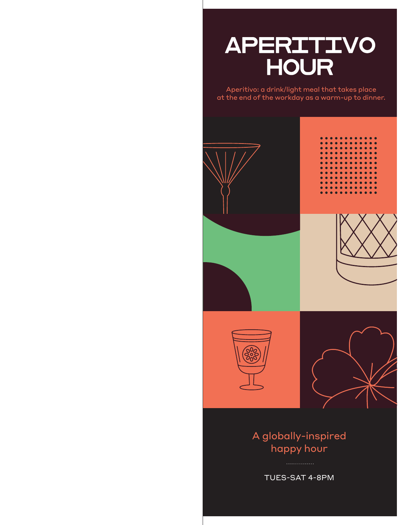# APERITIVO **HOUR**

Aperitivo: a drink/light meal that takes place at the end of the workday as a warm-up to dinner.



# A globally-inspired happy hour

TUES-SAT 4-8PM